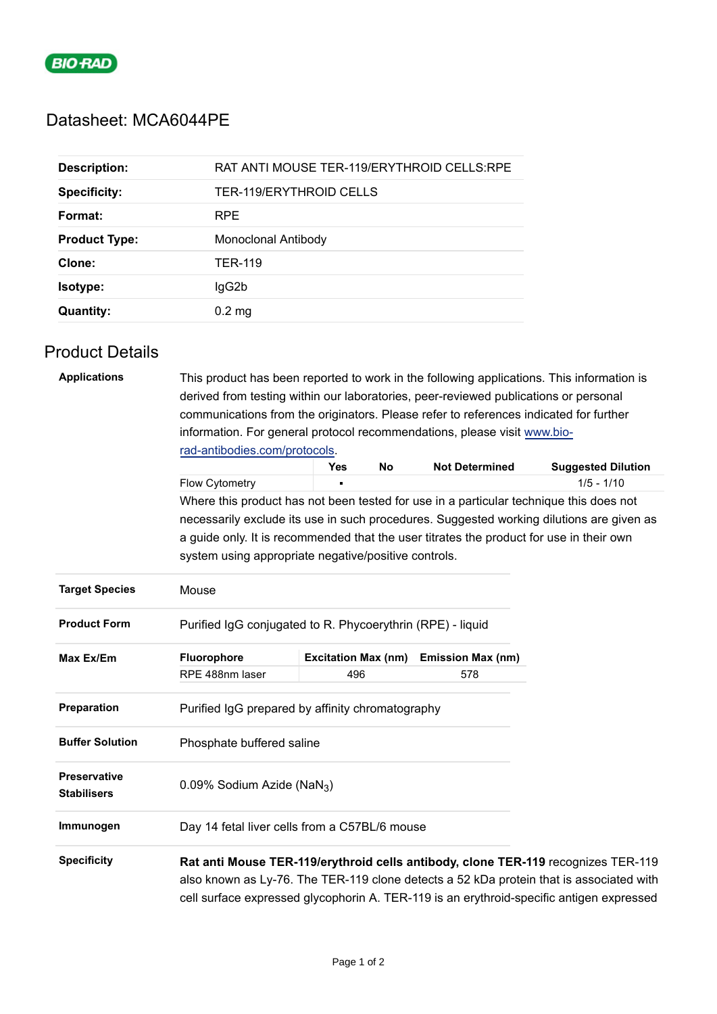

## Datasheet: MCA6044PE

| <b>Description:</b>  | RAT ANTI MOUSE TER-119/ERYTHROID CELLS:RPE |
|----------------------|--------------------------------------------|
| <b>Specificity:</b>  | <b>TER-119/ERYTHROID CELLS</b>             |
| Format:              | <b>RPE</b>                                 |
| <b>Product Type:</b> | Monoclonal Antibody                        |
| Clone:               | <b>TER-119</b>                             |
| <b>Isotype:</b>      | lgG2b                                      |
| <b>Quantity:</b>     | $0.2 \text{ mg}$                           |

## Product Details

| <b>Applications</b>                | This product has been reported to work in the following applications. This information is<br>derived from testing within our laboratories, peer-reviewed publications or personal<br>communications from the originators. Please refer to references indicated for further<br>information. For general protocol recommendations, please visit www.bio-<br>rad-antibodies.com/protocols. |                            |    |                          |                           |  |  |
|------------------------------------|-----------------------------------------------------------------------------------------------------------------------------------------------------------------------------------------------------------------------------------------------------------------------------------------------------------------------------------------------------------------------------------------|----------------------------|----|--------------------------|---------------------------|--|--|
|                                    |                                                                                                                                                                                                                                                                                                                                                                                         | Yes                        | No | <b>Not Determined</b>    | <b>Suggested Dilution</b> |  |  |
|                                    | <b>Flow Cytometry</b>                                                                                                                                                                                                                                                                                                                                                                   |                            |    |                          | $1/5 - 1/10$              |  |  |
|                                    | Where this product has not been tested for use in a particular technique this does not                                                                                                                                                                                                                                                                                                  |                            |    |                          |                           |  |  |
|                                    | necessarily exclude its use in such procedures. Suggested working dilutions are given as<br>a guide only. It is recommended that the user titrates the product for use in their own                                                                                                                                                                                                     |                            |    |                          |                           |  |  |
|                                    | system using appropriate negative/positive controls.                                                                                                                                                                                                                                                                                                                                    |                            |    |                          |                           |  |  |
| <b>Target Species</b>              | Mouse                                                                                                                                                                                                                                                                                                                                                                                   |                            |    |                          |                           |  |  |
| <b>Product Form</b>                | Purified IgG conjugated to R. Phycoerythrin (RPE) - liquid                                                                                                                                                                                                                                                                                                                              |                            |    |                          |                           |  |  |
| Max Ex/Em                          | Fluorophore                                                                                                                                                                                                                                                                                                                                                                             | <b>Excitation Max (nm)</b> |    | <b>Emission Max (nm)</b> |                           |  |  |
|                                    | RPE 488nm laser                                                                                                                                                                                                                                                                                                                                                                         | 496                        |    | 578                      |                           |  |  |
| Preparation                        | Purified IgG prepared by affinity chromatography                                                                                                                                                                                                                                                                                                                                        |                            |    |                          |                           |  |  |
| <b>Buffer Solution</b>             | Phosphate buffered saline                                                                                                                                                                                                                                                                                                                                                               |                            |    |                          |                           |  |  |
| Preservative<br><b>Stabilisers</b> | 0.09% Sodium Azide (NaN <sub>3</sub> )                                                                                                                                                                                                                                                                                                                                                  |                            |    |                          |                           |  |  |
| Immunogen                          | Day 14 fetal liver cells from a C57BL/6 mouse                                                                                                                                                                                                                                                                                                                                           |                            |    |                          |                           |  |  |
| <b>Specificity</b>                 | Rat anti Mouse TER-119/erythroid cells antibody, clone TER-119 recognizes TER-119<br>also known as Ly-76. The TER-119 clone detects a 52 kDa protein that is associated with<br>cell surface expressed glycophorin A. TER-119 is an erythroid-specific antigen expressed                                                                                                                |                            |    |                          |                           |  |  |